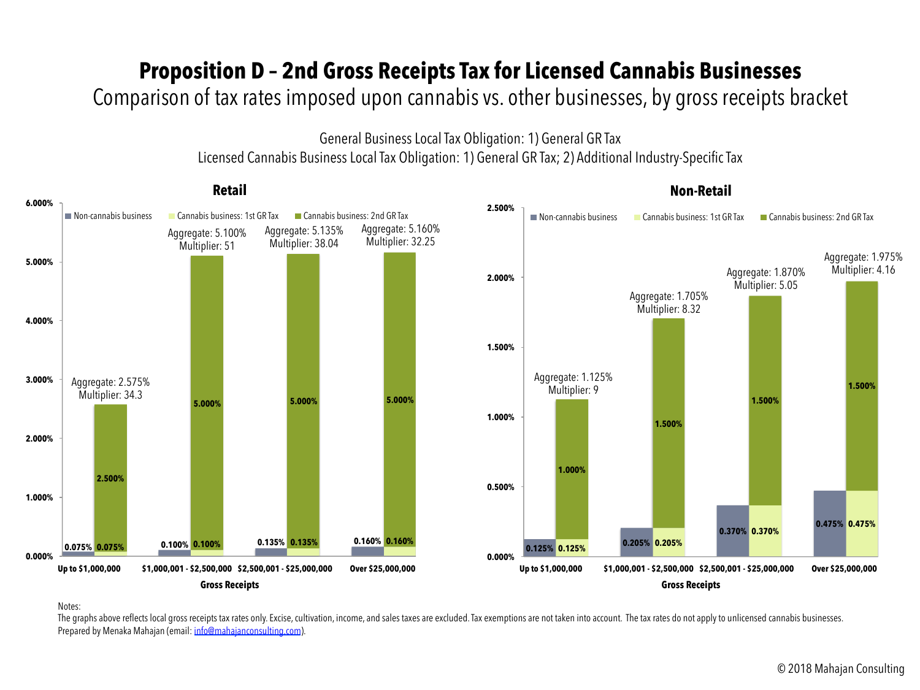## **Proposition D – 2nd Gross Receipts Tax for Licensed Cannabis Businesses**

### Comparison of tax rates imposed upon cannabis vs. other businesses, by gross receipts bracket

General Business Local Tax Obligation: 1) General GR Tax

Licensed Cannabis Business Local Tax Obligation: 1) General GR Tax; 2) Additional Industry-Specific Tax



Notes:

The graphs above reflects local gross receipts tax rates only. Excise, cultivation, income, and sales taxes are excluded. Tax exemptions are not taken into account. The tax rates do not apply to unlicensed cannabis busines Prepared by Menaka Mahajan (email: info@mahajanconsulting.com).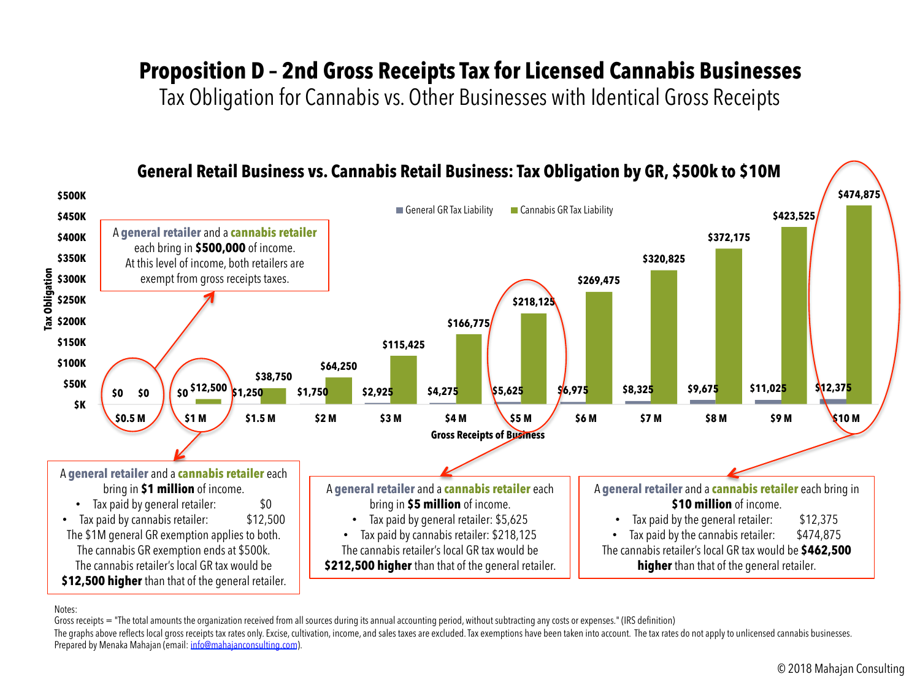# **Proposition D – 2nd Gross Receipts Tax for Licensed Cannabis Businesses**

Tax Obligation for Cannabis vs. Other Businesses with Identical Gross Receipts



#### Notes:

Gross receipts = "The total amounts the organization received from all sources during its annual accounting period, without subtracting any costs or expenses." (IRS definition)

The graphs above reflects local gross receipts tax rates only. Excise, cultivation, income, and sales taxes are excluded. Tax exemptions have been taken into account. The tax rates do not apply to unlicensed cannabis busin Prepared by Menaka Mahajan (email: info@mahajanconsulting.com).